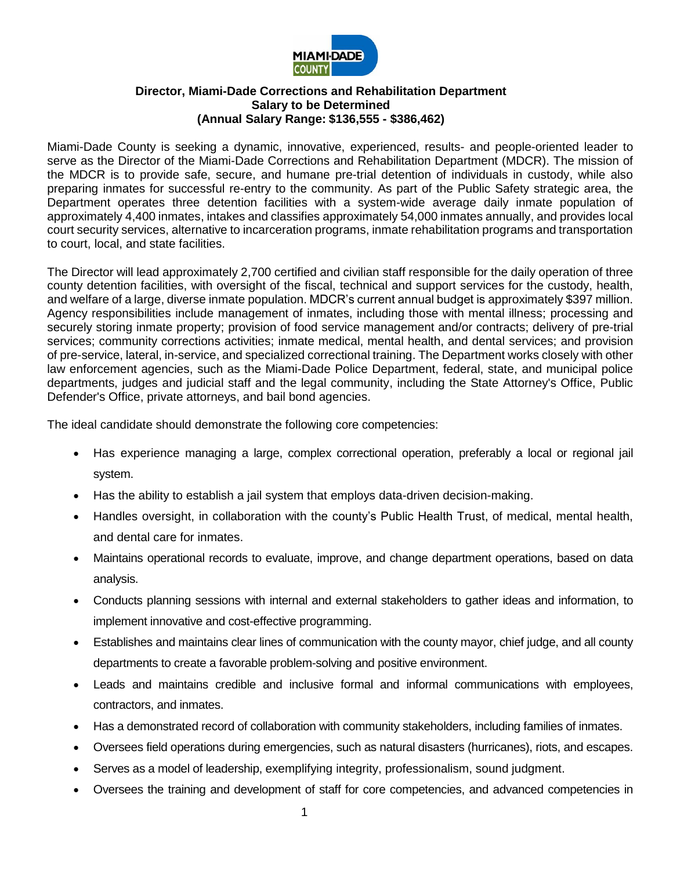

#### **Director, Miami-Dade Corrections and Rehabilitation Department Salary to be Determined (Annual Salary Range: \$136,555 - \$386,462)**

Miami-Dade County is seeking a dynamic, innovative, experienced, results- and people-oriented leader to serve as the Director of the Miami-Dade Corrections and Rehabilitation Department (MDCR). The mission of the MDCR is to provide safe, secure, and humane pre-trial detention of individuals in custody, while also preparing inmates for successful re-entry to the community. As part of the Public Safety strategic area, the Department operates three detention facilities with a system-wide average daily inmate population of approximately 4,400 inmates, intakes and classifies approximately 54,000 inmates annually, and provides local court security services, alternative to incarceration programs, inmate rehabilitation programs and transportation to court, local, and state facilities.

The Director will lead approximately 2,700 certified and civilian staff responsible for the daily operation of three county detention facilities, with oversight of the fiscal, technical and support services for the custody, health, and welfare of a large, diverse inmate population. MDCR's current annual budget is approximately \$397 million. Agency responsibilities include management of inmates, including those with mental illness; processing and securely storing inmate property; provision of food service management and/or contracts; delivery of pre-trial services; community corrections activities; inmate medical, mental health, and dental services; and provision of pre-service, lateral, in-service, and specialized correctional training. The Department works closely with other law enforcement agencies, such as the Miami-Dade Police Department, federal, state, and municipal police departments, judges and judicial staff and the legal community, including the State Attorney's Office, Public Defender's Office, private attorneys, and bail bond agencies.

The ideal candidate should demonstrate the following core competencies:

- Has experience managing a large, complex correctional operation, preferably a local or regional jail system.
- Has the ability to establish a jail system that employs data-driven decision-making.
- Handles oversight, in collaboration with the county's Public Health Trust, of medical, mental health, and dental care for inmates.
- Maintains operational records to evaluate, improve, and change department operations, based on data analysis.
- Conducts planning sessions with internal and external stakeholders to gather ideas and information, to implement innovative and cost-effective programming.
- Establishes and maintains clear lines of communication with the county mayor, chief judge, and all county departments to create a favorable problem-solving and positive environment.
- Leads and maintains credible and inclusive formal and informal communications with employees, contractors, and inmates.
- Has a demonstrated record of collaboration with community stakeholders, including families of inmates.
- Oversees field operations during emergencies, such as natural disasters (hurricanes), riots, and escapes.
- Serves as a model of leadership, exemplifying integrity, professionalism, sound judgment.
- Oversees the training and development of staff for core competencies, and advanced competencies in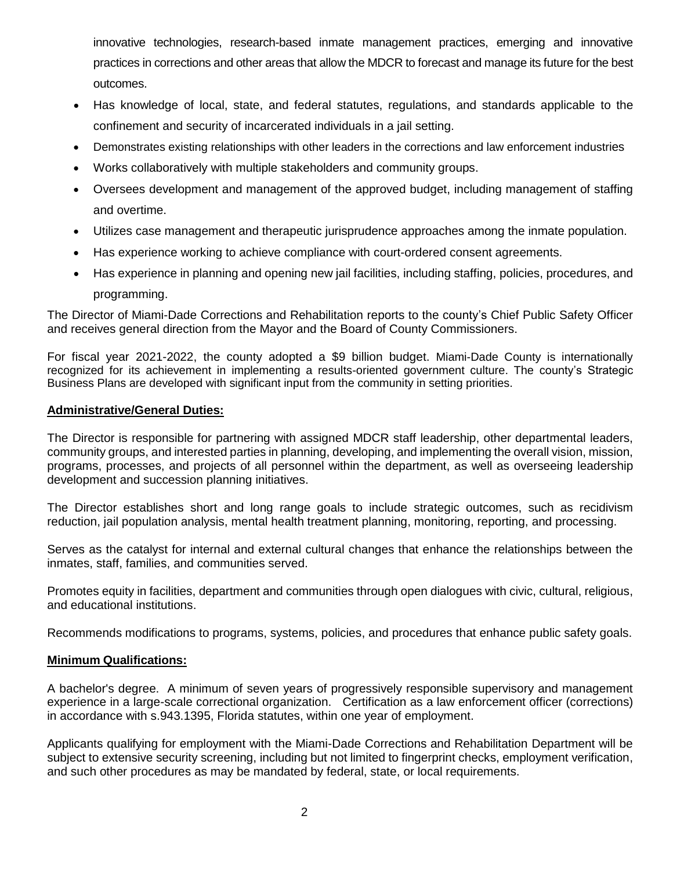innovative technologies, research-based inmate management practices, emerging and innovative practices in corrections and other areas that allow the MDCR to forecast and manage its future for the best outcomes.

- Has knowledge of local, state, and federal statutes, regulations, and standards applicable to the confinement and security of incarcerated individuals in a jail setting.
- Demonstrates existing relationships with other leaders in the corrections and law enforcement industries
- Works collaboratively with multiple stakeholders and community groups.
- Oversees development and management of the approved budget, including management of staffing and overtime.
- Utilizes case management and therapeutic jurisprudence approaches among the inmate population.
- Has experience working to achieve compliance with court-ordered consent agreements.
- Has experience in planning and opening new jail facilities, including staffing, policies, procedures, and programming.

The Director of Miami-Dade Corrections and Rehabilitation reports to the county's Chief Public Safety Officer and receives general direction from the Mayor and the Board of County Commissioners.

For fiscal year 2021-2022, the county adopted a \$9 billion budget. Miami-Dade County is internationally recognized for its achievement in implementing a results-oriented government culture. The county's Strategic Business Plans are developed with significant input from the community in setting priorities.

# **Administrative/General Duties:**

The Director is responsible for partnering with assigned MDCR staff leadership, other departmental leaders, community groups, and interested parties in planning, developing, and implementing the overall vision, mission, programs, processes, and projects of all personnel within the department, as well as overseeing leadership development and succession planning initiatives.

The Director establishes short and long range goals to include strategic outcomes, such as recidivism reduction, jail population analysis, mental health treatment planning, monitoring, reporting, and processing.

Serves as the catalyst for internal and external cultural changes that enhance the relationships between the inmates, staff, families, and communities served.

Promotes equity in facilities, department and communities through open dialogues with civic, cultural, religious, and educational institutions.

Recommends modifications to programs, systems, policies, and procedures that enhance public safety goals.

# **Minimum Qualifications:**

A bachelor's degree. A minimum of seven years of progressively responsible supervisory and management experience in a large-scale correctional organization. Certification as a law enforcement officer (corrections) in accordance with s.943.1395, Florida statutes, within one year of employment.

Applicants qualifying for employment with the Miami-Dade Corrections and Rehabilitation Department will be subject to extensive security screening, including but not limited to fingerprint checks, employment verification, and such other procedures as may be mandated by federal, state, or local requirements.